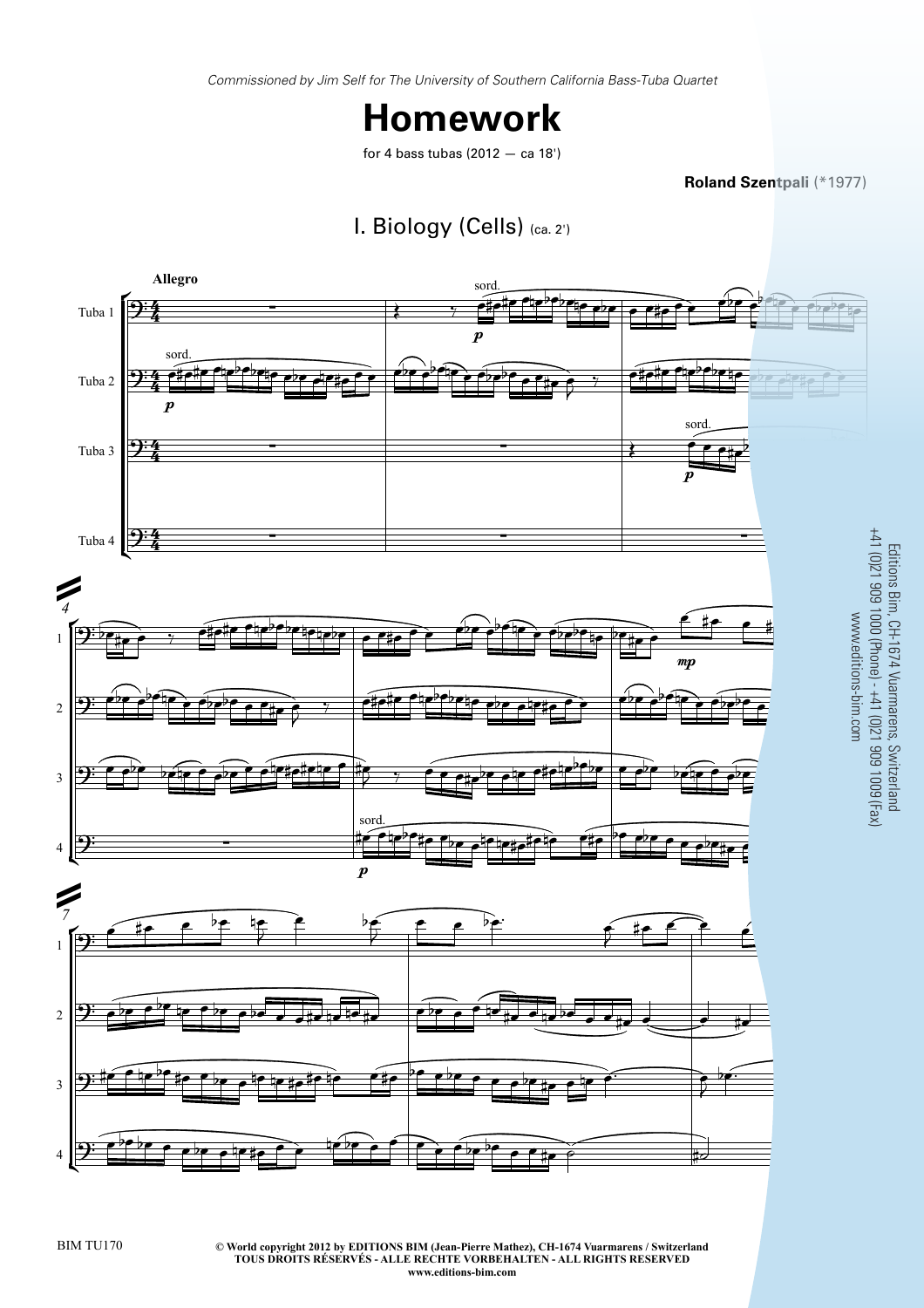*Commissioned by Jim Self for The University of Southern California Bass-Tuba Quartet*

## **Homework**

for 4 bass tubas (2012 — ca 18')

**Roland Szentpali** (\*1977)





**© World copyright 2012 by EDITIONS BIM (Jean-Pierre Mathez), CH-1674 Vuarmarens / Switzerland** BIM TU170 3 **TOUS DROITS RÉSERVÉS - ALLE RECHTE VORBEHALTEN - ALL RIGHTS RESERVED www.editions-bim.com**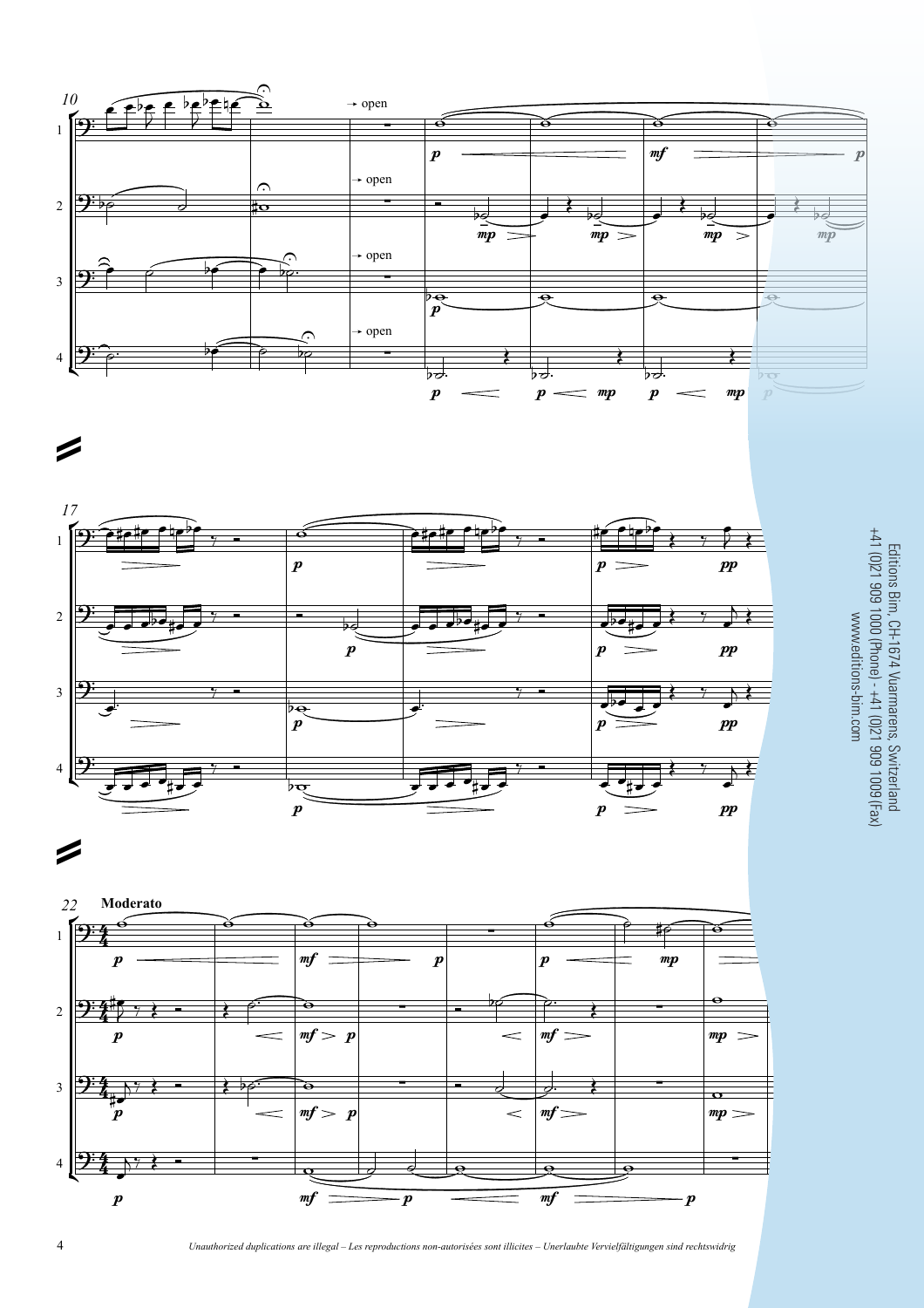





=

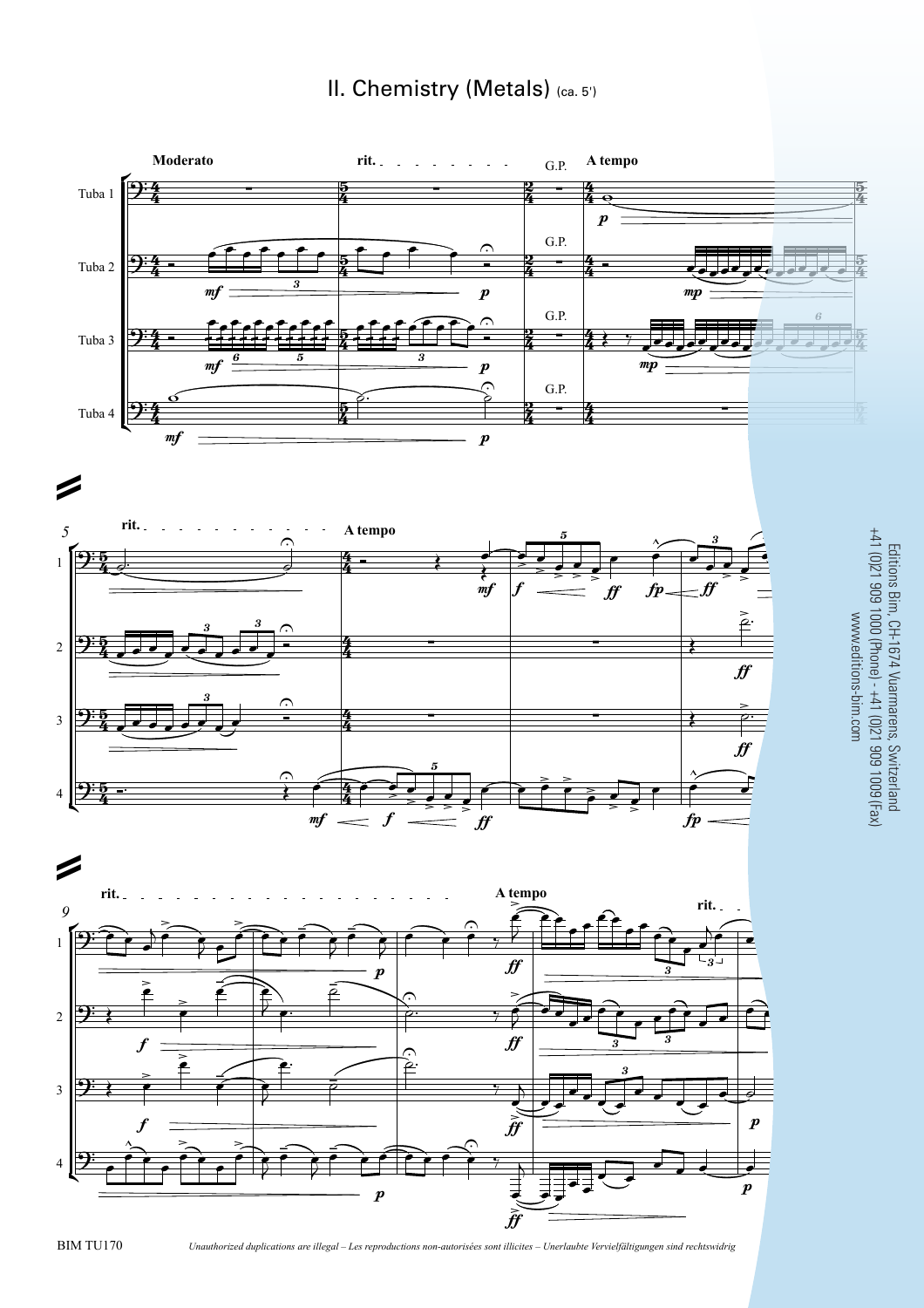## II. Chemistry (Metals) (ca. 5')









BIM TU170 *Unauthorized duplications are illegal – Les reproductions non-autorisées sont illicites – Unerlaubte Vervielfältigungen sind rechtswidrig* 7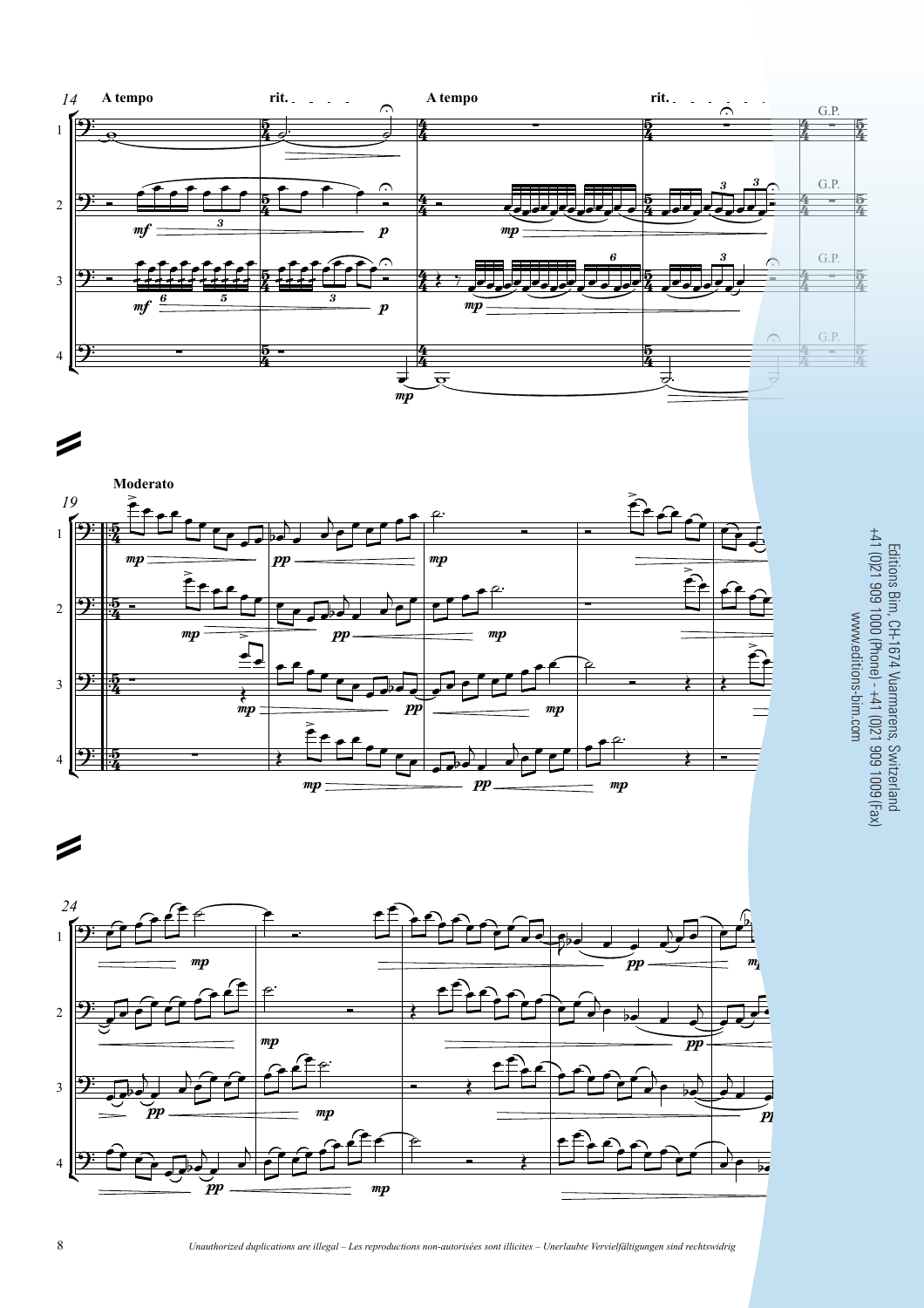





Editions Bim, CH-1674 Vuarmarens, Switzerland<br>+41 (0)21 909 1000 (Phone) - +41 (0)21 909 1009 (Fax) +41 (0)21 909 1000 (Phone) - +41 (0)21 909 1009 (Fax) Editions Bim, CH-1674 Vuarmarens, Switzerland www.editions-bim.com $\overline{C}$ 

8 *Unauthorized duplications are illegal – Les reproductions non-autorisées sont illicites – Unerlaubte Vervielfältigungen sind rechtswidrig*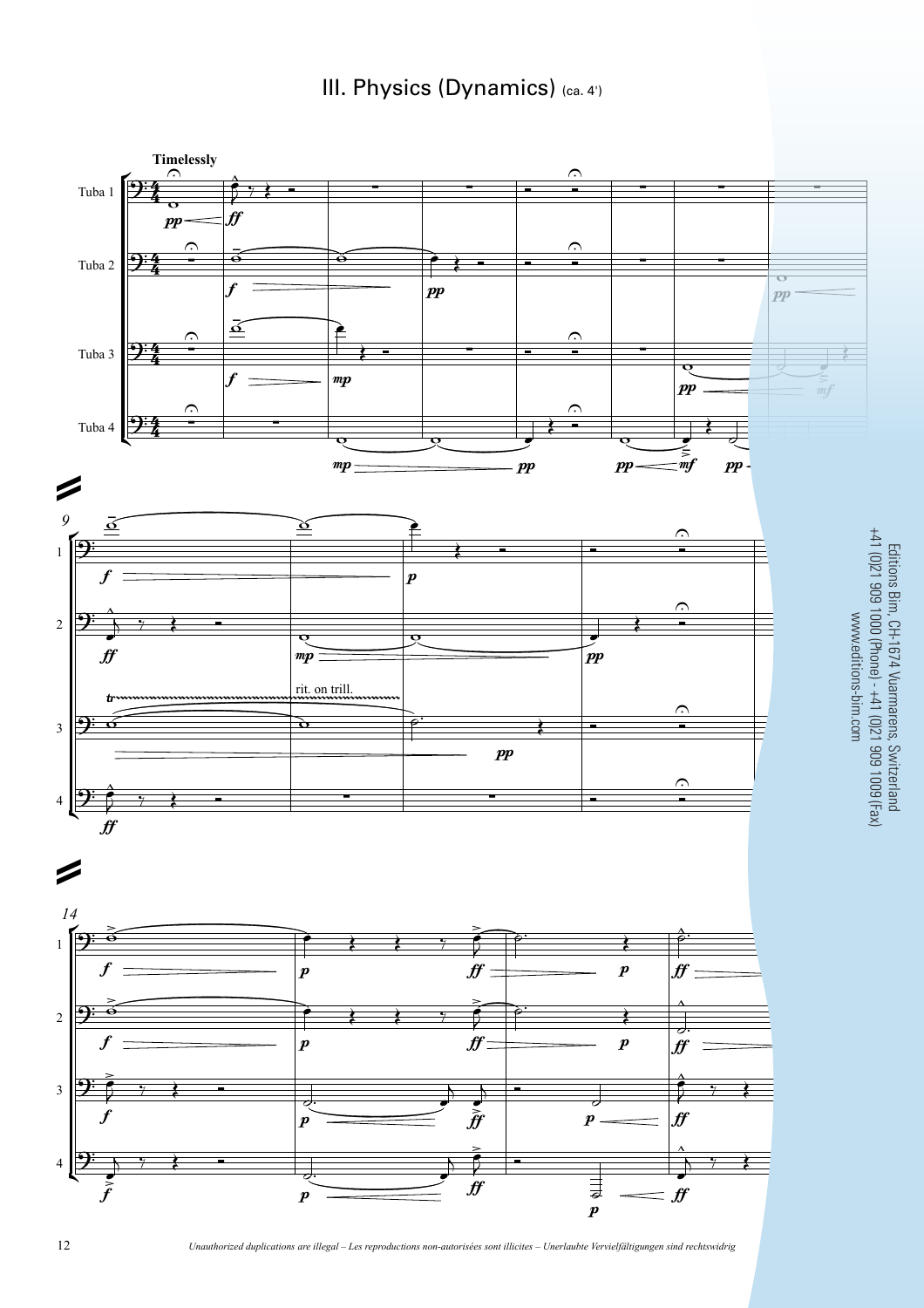III. Physics (Dynamics) (ca. 4')



Editions Bim, CH-1674 Vuarmarens, Switzerland

12 *Unauthorized duplications are illegal* – Les reproductions non-autorisées sont illicites – Unerlaubte Vervielfältigungen sind rechtswidrig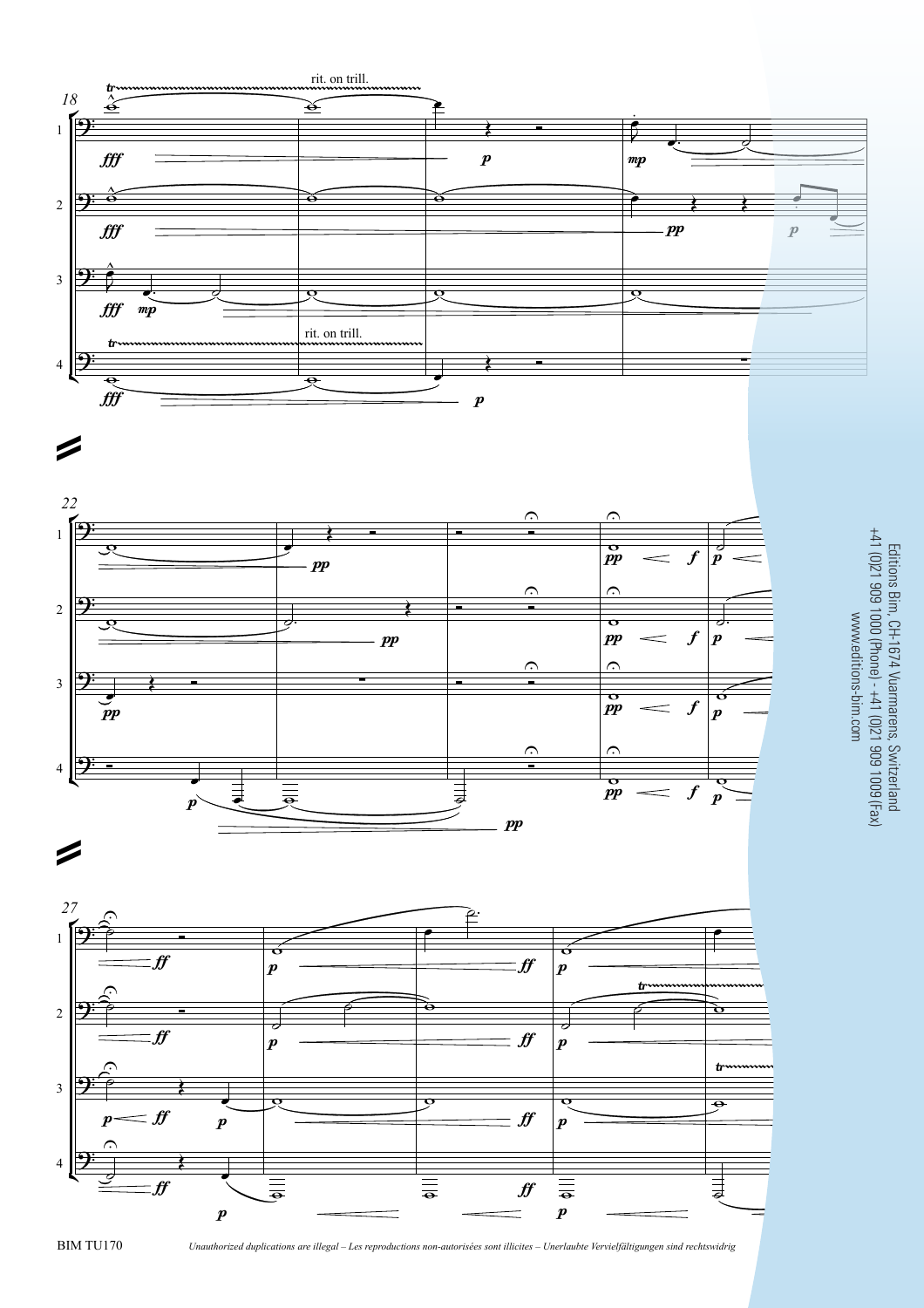







=

BIM TU170 *Unauthorized duplications are illegal – Les reproductions non-autorisées sont illicites – Unerlaubte Vervielfältigungen sind rechtswidrig* 13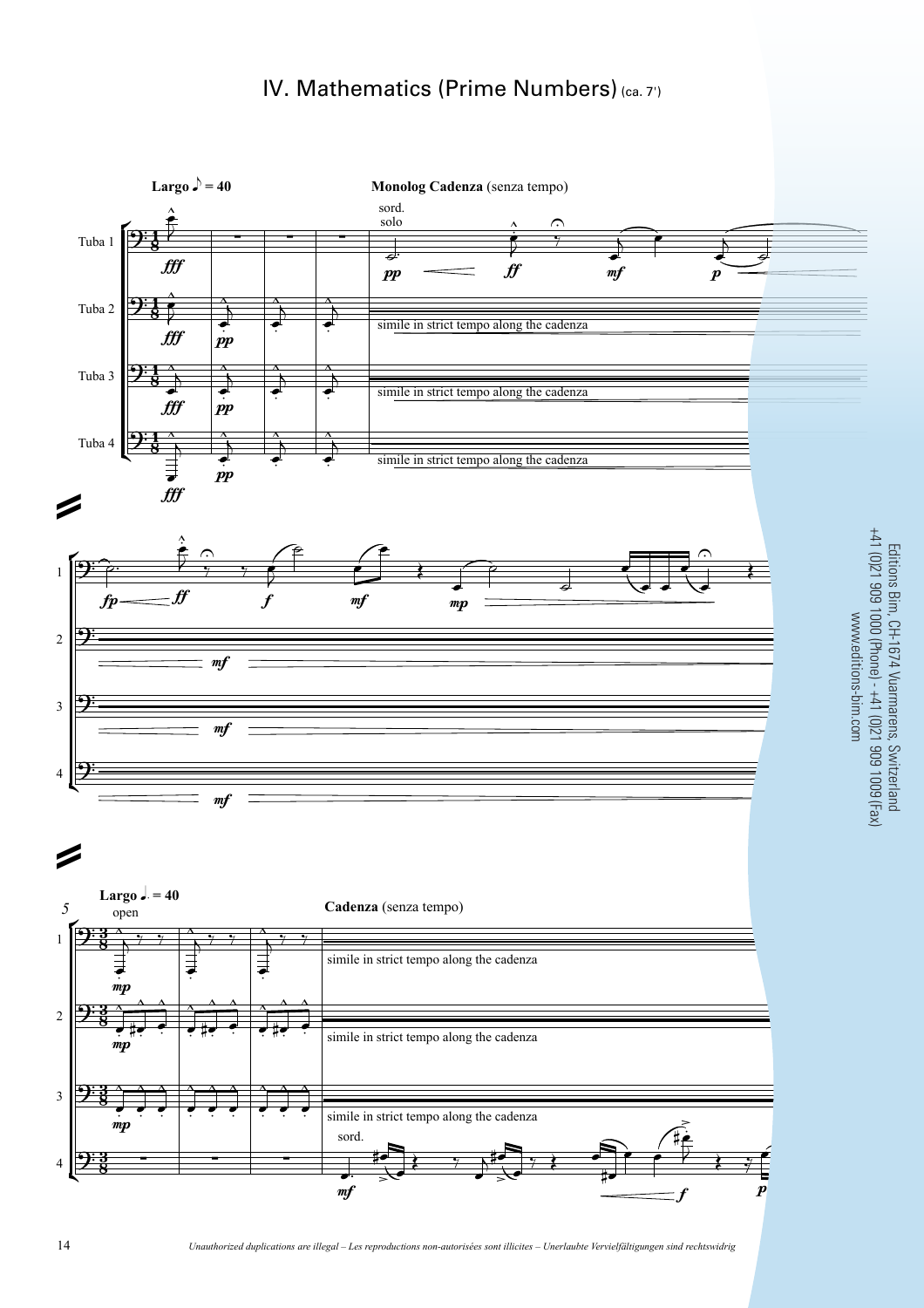## IV. Mathematics (Prime Numbers) (ca. 7')

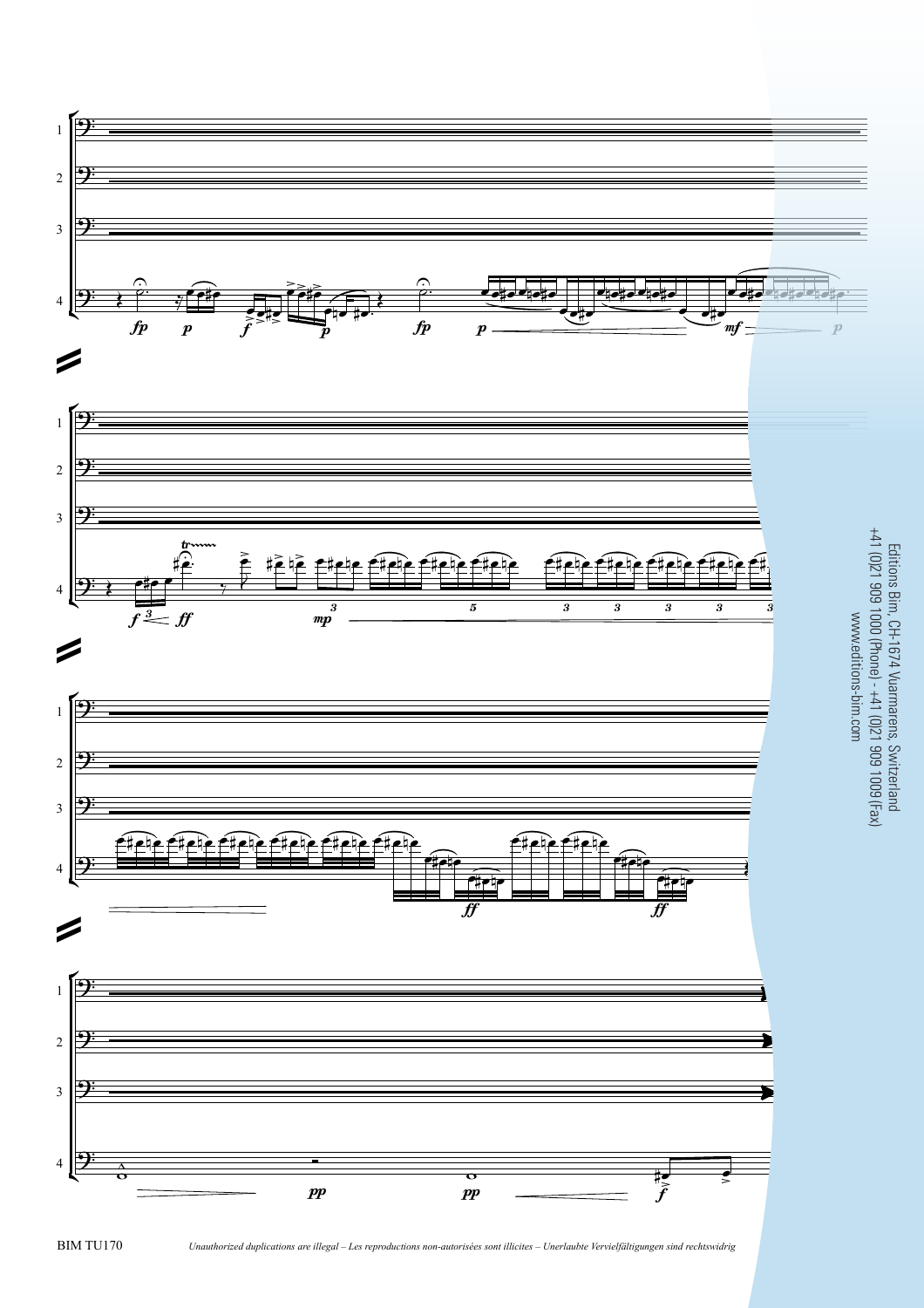

BIM TU170 *Unauthorized duplications are illegal – Les reproductions non-autorisées sont illicites – Unerlaubte Vervielfältigungen sind rechtswidrig* 15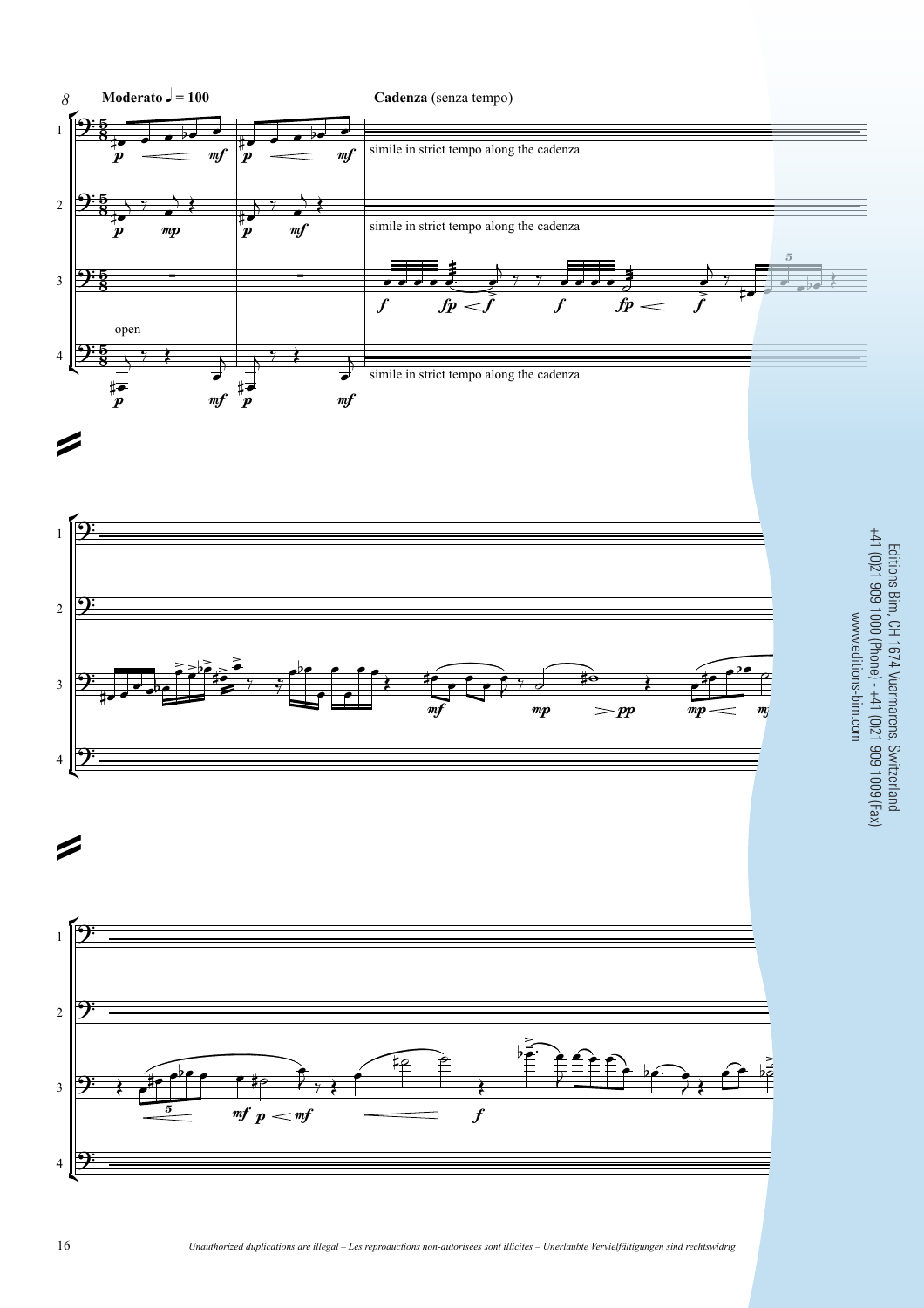

16 *Unauthorized duplications are illegal* – Les reproductions non-autorisées sont illicites – Unerlaubte Vervielfältigungen sind rechtswidrig